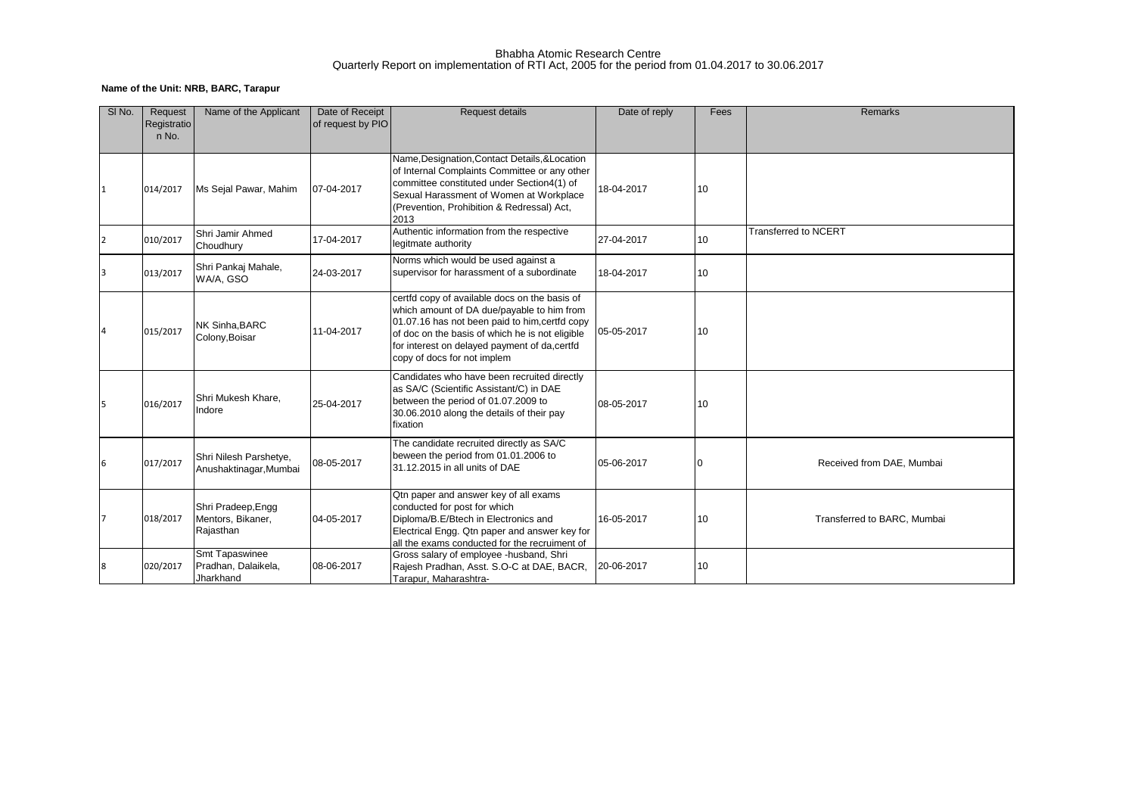### Bhabha Atomic Research Centre Quarterly Report on implementation of RTI Act, 2005 for the period from 01.04.2017 to 30.06.2017

# **Name of the Unit: NRB, BARC, Tarapur**

| SI <sub>No.</sub> | Request<br>Registratio<br>n No. | Name of the Applicant                                | Date of Receipt<br>of request by PIO | <b>Request details</b>                                                                                                                                                                                                                                                           | Date of reply | Fees | Remarks                     |
|-------------------|---------------------------------|------------------------------------------------------|--------------------------------------|----------------------------------------------------------------------------------------------------------------------------------------------------------------------------------------------------------------------------------------------------------------------------------|---------------|------|-----------------------------|
|                   | 014/2017                        | Ms Sejal Pawar, Mahim                                | 07-04-2017                           | Name, Designation, Contact Details, & Location<br>of Internal Complaints Committee or any other<br>committee constituted under Section4(1) of<br>Sexual Harassment of Women at Workplace<br>(Prevention, Prohibition & Redressal) Act,<br>2013                                   | 18-04-2017    | 10   |                             |
| $\overline{2}$    | 010/2017                        | Shri Jamir Ahmed<br>Choudhury                        | 17-04-2017                           | Authentic information from the respective<br>legitmate authority                                                                                                                                                                                                                 | 27-04-2017    | 10   | <b>Transferred to NCERT</b> |
| 3                 | 013/2017                        | Shri Pankaj Mahale,<br>WA/A, GSO                     | 24-03-2017                           | Norms which would be used against a<br>supervisor for harassment of a subordinate                                                                                                                                                                                                | 18-04-2017    | 10   |                             |
| <b>4</b>          | 015/2017                        | NK Sinha, BARC<br>Colony, Boisar                     | 11-04-2017                           | certfd copy of available docs on the basis of<br>which amount of DA due/payable to him from<br>01.07.16 has not been paid to him, certfd copy<br>of doc on the basis of which he is not eligible<br>for interest on delayed payment of da, certfd<br>copy of docs for not implem | 05-05-2017    | 10   |                             |
| 5                 | 016/2017                        | Shri Mukesh Khare,<br>Indore                         | 25-04-2017                           | Candidates who have been recruited directly<br>as SA/C (Scientific Assistant/C) in DAE<br>between the period of 01.07.2009 to<br>30.06.2010 along the details of their pay<br>fixation                                                                                           | 08-05-2017    | 10   |                             |
| 6                 | 017/2017                        | Shri Nilesh Parshetye,<br>Anushaktinagar, Mumbai     | 08-05-2017                           | The candidate recruited directly as SA/C<br>beween the period from 01.01.2006 to<br>31.12.2015 in all units of DAE                                                                                                                                                               | 05-06-2017    | 0    | Received from DAE, Mumbai   |
| 7                 | 018/2017                        | Shri Pradeep, Engg<br>Mentors, Bikaner,<br>Rajasthan | 04-05-2017                           | Qtn paper and answer key of all exams<br>conducted for post for which<br>Diploma/B.E/Btech in Electronics and<br>Electrical Engg. Qtn paper and answer key for<br>all the exams conducted for the recruiment of                                                                  | 16-05-2017    | 10   | Transferred to BARC, Mumbai |
| 8                 | 020/2017                        | Smt Tapaswinee<br>Pradhan, Dalaikela,<br>Jharkhand   | 08-06-2017                           | Gross salary of employee -husband, Shri<br>Rajesh Pradhan, Asst. S.O-C at DAE, BACR,<br>Tarapur, Maharashtra-                                                                                                                                                                    | 20-06-2017    | 10   |                             |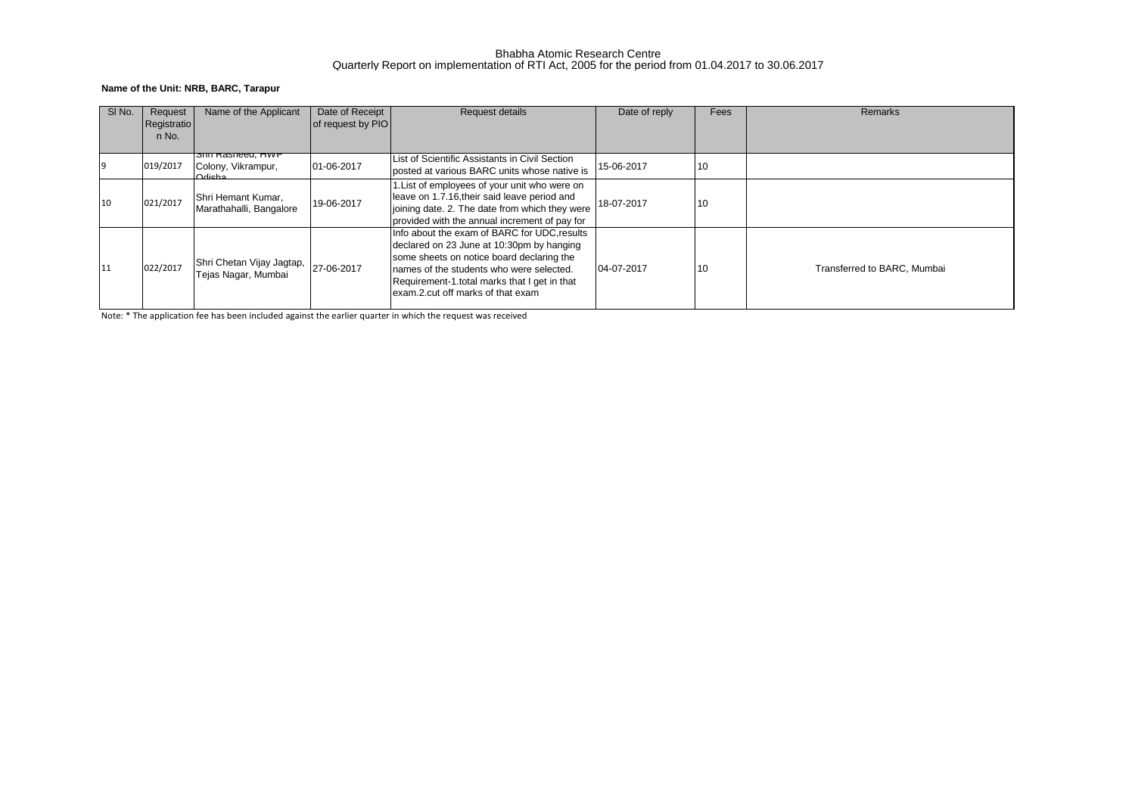### Bhabha Atomic Research Centre Quarterly Report on implementation of RTI Act, 2005 for the period from 01.04.2017 to 30.06.2017

## **Name of the Unit: NRB, BARC, Tarapur**

| SI <sub>No.</sub> | Request<br>Registratio | Name of the Applicant                                     | Date of Receipt<br>of request by PIO | Request details                                                                                                                                                                                                                                                         | Date of reply | Fees | Remarks                     |
|-------------------|------------------------|-----------------------------------------------------------|--------------------------------------|-------------------------------------------------------------------------------------------------------------------------------------------------------------------------------------------------------------------------------------------------------------------------|---------------|------|-----------------------------|
|                   | n No.                  |                                                           |                                      |                                                                                                                                                                                                                                                                         |               |      |                             |
|                   | 019/2017               | <b>SHIL Rasheed, HWP</b><br>Colony, Vikrampur,<br>Odicho. | 01-06-2017                           | List of Scientific Assistants in Civil Section<br>posted at various BARC units whose native is                                                                                                                                                                          | 15-06-2017    | 10   |                             |
| 10                | 021/2017               | Shri Hemant Kumar,<br>Marathahalli, Bangalore             | 19-06-2017                           | List of employees of your unit who were on<br>leave on 1.7.16, their said leave period and<br>joining date. 2. The date from which they were<br>provided with the annual increment of pay for                                                                           | 18-07-2017    | 10   |                             |
| 11                | 022/2017               | Shri Chetan Vijay Jagtap,<br>Tejas Nagar, Mumbai          | 27-06-2017                           | Info about the exam of BARC for UDC, results<br>declared on 23 June at 10:30pm by hanging<br>some sheets on notice board declaring the<br>names of the students who were selected.<br>Requirement-1 total marks that I get in that<br>exam.2.cut off marks of that exam | 04-07-2017    | 10   | Transferred to BARC, Mumbai |

Note: \* The application fee has been included against the earlier quarter in which the request was received